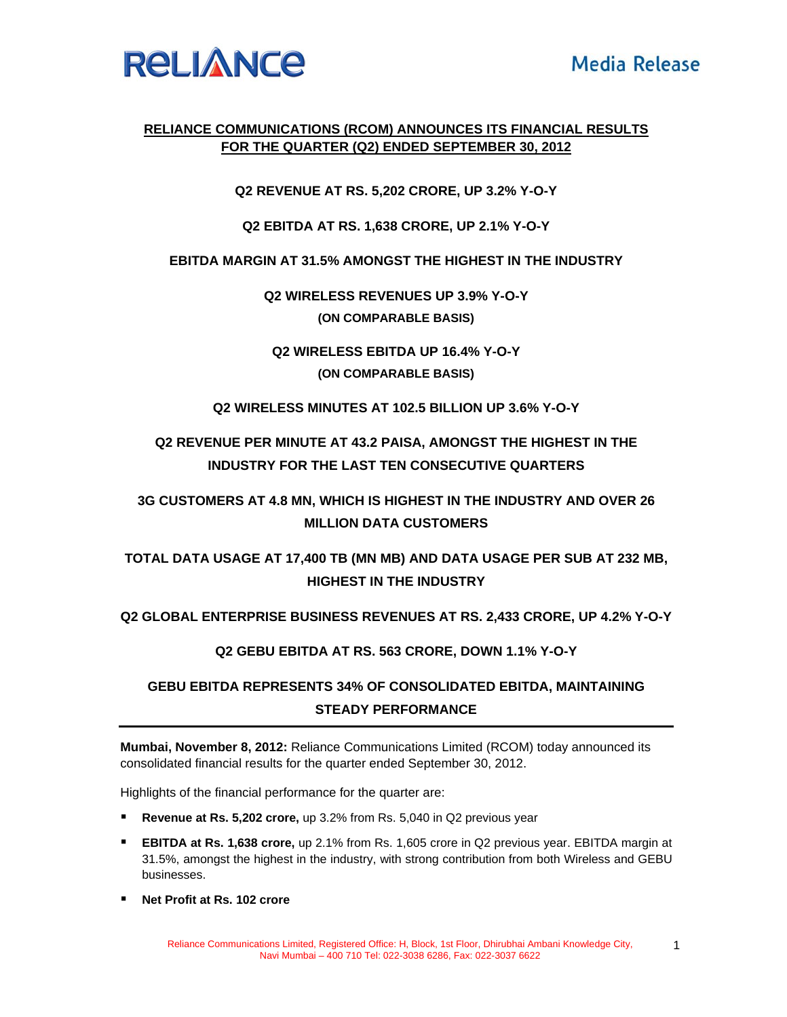

### **RELIANCE COMMUNICATIONS (RCOM) ANNOUNCES ITS FINANCIAL RESULTS FOR THE QUARTER (Q2) ENDED SEPTEMBER 30, 2012**

**Q2 REVENUE AT RS. 5,202 CRORE, UP 3.2% Y-O-Y** 

**Q2 EBITDA AT RS. 1,638 CRORE, UP 2.1% Y-O-Y** 

**EBITDA MARGIN AT 31.5% AMONGST THE HIGHEST IN THE INDUSTRY** 

**Q2 WIRELESS REVENUES UP 3.9% Y-O-Y (ON COMPARABLE BASIS)** 

**Q2 WIRELESS EBITDA UP 16.4% Y-O-Y (ON COMPARABLE BASIS)** 

**Q2 WIRELESS MINUTES AT 102.5 BILLION UP 3.6% Y-O-Y** 

# **Q2 REVENUE PER MINUTE AT 43.2 PAISA, AMONGST THE HIGHEST IN THE INDUSTRY FOR THE LAST TEN CONSECUTIVE QUARTERS**

## **3G CUSTOMERS AT 4.8 MN, WHICH IS HIGHEST IN THE INDUSTRY AND OVER 26 MILLION DATA CUSTOMERS**

**TOTAL DATA USAGE AT 17,400 TB (MN MB) AND DATA USAGE PER SUB AT 232 MB, HIGHEST IN THE INDUSTRY** 

**Q2 GLOBAL ENTERPRISE BUSINESS REVENUES AT RS. 2,433 CRORE, UP 4.2% Y-O-Y** 

**Q2 GEBU EBITDA AT RS. 563 CRORE, DOWN 1.1% Y-O-Y** 

### **GEBU EBITDA REPRESENTS 34% OF CONSOLIDATED EBITDA, MAINTAINING STEADY PERFORMANCE**

**Mumbai, November 8, 2012:** Reliance Communications Limited (RCOM) today announced its consolidated financial results for the quarter ended September 30, 2012.

Highlights of the financial performance for the quarter are:

- **Revenue at Rs. 5,202 crore,** up 3.2% from Rs. 5,040 in Q2 previous year
- **EBITDA at Rs. 1,638 crore,** up 2.1% from Rs. 1,605 crore in Q2 previous year. EBITDA margin at 31.5%, amongst the highest in the industry, with strong contribution from both Wireless and GEBU businesses.
- **Net Profit at Rs. 102 crore**

1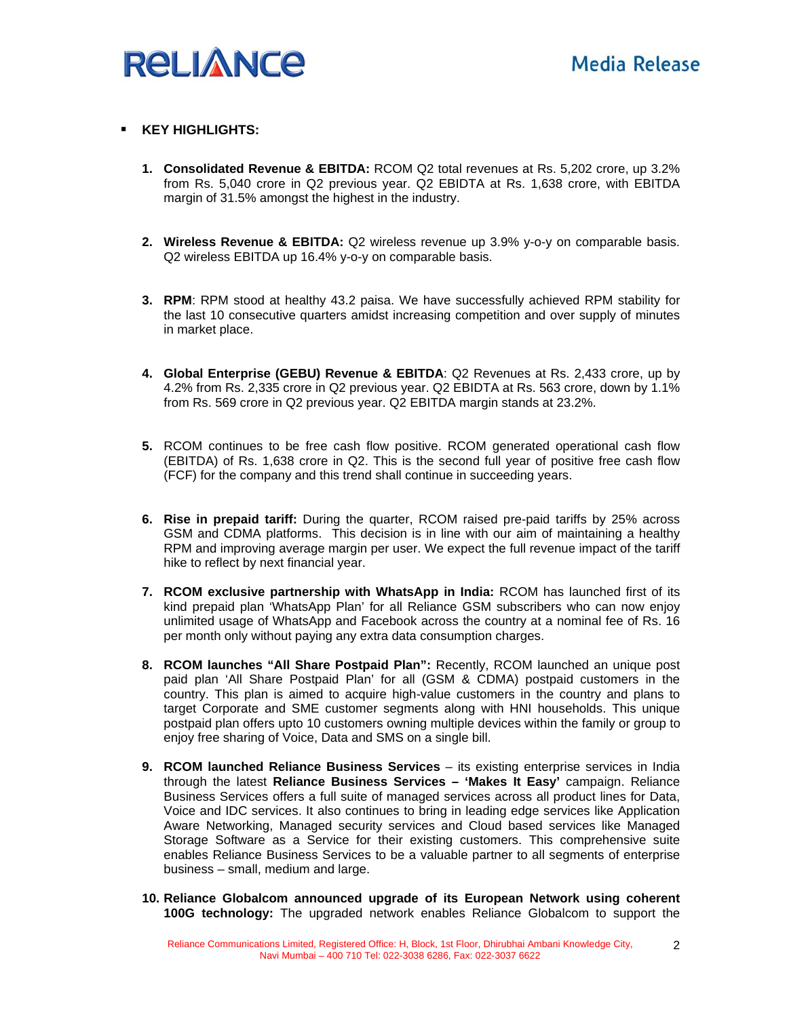

#### **KEY HIGHLIGHTS:**

- **1. Consolidated Revenue & EBITDA:** RCOM Q2 total revenues at Rs. 5,202 crore, up 3.2% from Rs. 5,040 crore in Q2 previous year. Q2 EBIDTA at Rs. 1,638 crore, with EBITDA margin of 31.5% amongst the highest in the industry.
- **2. Wireless Revenue & EBITDA:** Q2 wireless revenue up 3.9% y-o-y on comparable basis. Q2 wireless EBITDA up 16.4% y-o-y on comparable basis.
- **3. RPM**: RPM stood at healthy 43.2 paisa. We have successfully achieved RPM stability for the last 10 consecutive quarters amidst increasing competition and over supply of minutes in market place.
- **4. Global Enterprise (GEBU) Revenue & EBITDA**: Q2 Revenues at Rs. 2,433 crore, up by 4.2% from Rs. 2,335 crore in Q2 previous year. Q2 EBIDTA at Rs. 563 crore, down by 1.1% from Rs. 569 crore in Q2 previous year. Q2 EBITDA margin stands at 23.2%.
- **5.** RCOM continues to be free cash flow positive. RCOM generated operational cash flow (EBITDA) of Rs. 1,638 crore in Q2. This is the second full year of positive free cash flow (FCF) for the company and this trend shall continue in succeeding years.
- **6. Rise in prepaid tariff:** During the quarter, RCOM raised pre-paid tariffs by 25% across GSM and CDMA platforms. This decision is in line with our aim of maintaining a healthy RPM and improving average margin per user. We expect the full revenue impact of the tariff hike to reflect by next financial year.
- **7. RCOM exclusive partnership with WhatsApp in India:** RCOM has launched first of its kind prepaid plan 'WhatsApp Plan' for all Reliance GSM subscribers who can now enjoy unlimited usage of WhatsApp and Facebook across the country at a nominal fee of Rs. 16 per month only without paying any extra data consumption charges.
- **8. RCOM launches "All Share Postpaid Plan":** Recently, RCOM launched an unique post paid plan 'All Share Postpaid Plan' for all (GSM & CDMA) postpaid customers in the country. This plan is aimed to acquire high-value customers in the country and plans to target Corporate and SME customer segments along with HNI households. This unique postpaid plan offers upto 10 customers owning multiple devices within the family or group to enjoy free sharing of Voice, Data and SMS on a single bill.
- **9. RCOM launched Reliance Business Services** its existing enterprise services in India through the latest **Reliance Business Services – 'Makes It Easy'** campaign. Reliance Business Services offers a full suite of managed services across all product lines for Data, Voice and IDC services. It also continues to bring in leading edge services like Application Aware Networking, Managed security services and Cloud based services like Managed Storage Software as a Service for their existing customers. This comprehensive suite enables Reliance Business Services to be a valuable partner to all segments of enterprise business – small, medium and large.
- **10. Reliance Globalcom announced upgrade of its European Network using coherent 100G technology:** The upgraded network enables Reliance Globalcom to support the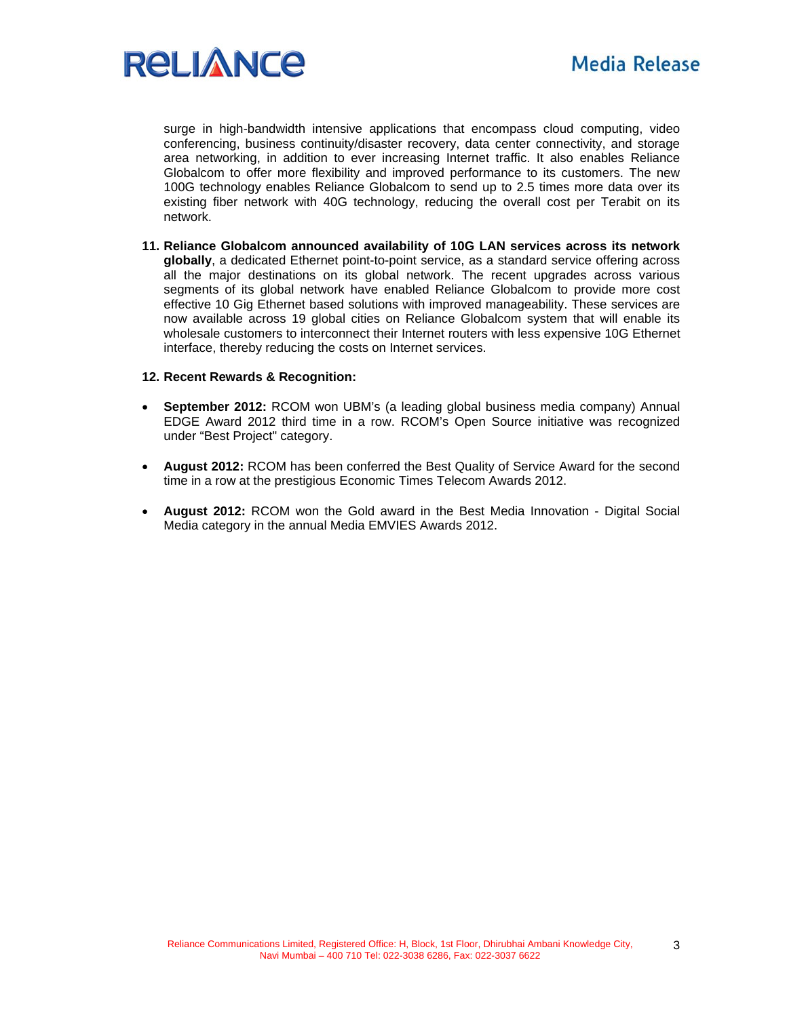

surge in high-bandwidth intensive applications that encompass cloud computing, video conferencing, business continuity/disaster recovery, data center connectivity, and storage area networking, in addition to ever increasing Internet traffic. It also enables Reliance Globalcom to offer more flexibility and improved performance to its customers. The new 100G technology enables Reliance Globalcom to send up to 2.5 times more data over its existing fiber network with 40G technology, reducing the overall cost per Terabit on its network.

**11. Reliance Globalcom announced availability of 10G LAN services across its network globally**, a dedicated Ethernet point-to-point service, as a standard service offering across all the major destinations on its global network. The recent upgrades across various segments of its global network have enabled Reliance Globalcom to provide more cost effective 10 Gig Ethernet based solutions with improved manageability. These services are now available across 19 global cities on Reliance Globalcom system that will enable its wholesale customers to interconnect their Internet routers with less expensive 10G Ethernet interface, thereby reducing the costs on Internet services.

#### **12. Recent Rewards & Recognition:**

- **September 2012:** RCOM won UBM's (a leading global business media company) Annual EDGE Award 2012 third time in a row. RCOM's Open Source initiative was recognized under "Best Project" category.
- **August 2012:** RCOM has been conferred the Best Quality of Service Award for the second time in a row at the prestigious Economic Times Telecom Awards 2012.
- **August 2012:** RCOM won the Gold award in the Best Media Innovation Digital Social Media category in the annual Media EMVIES Awards 2012.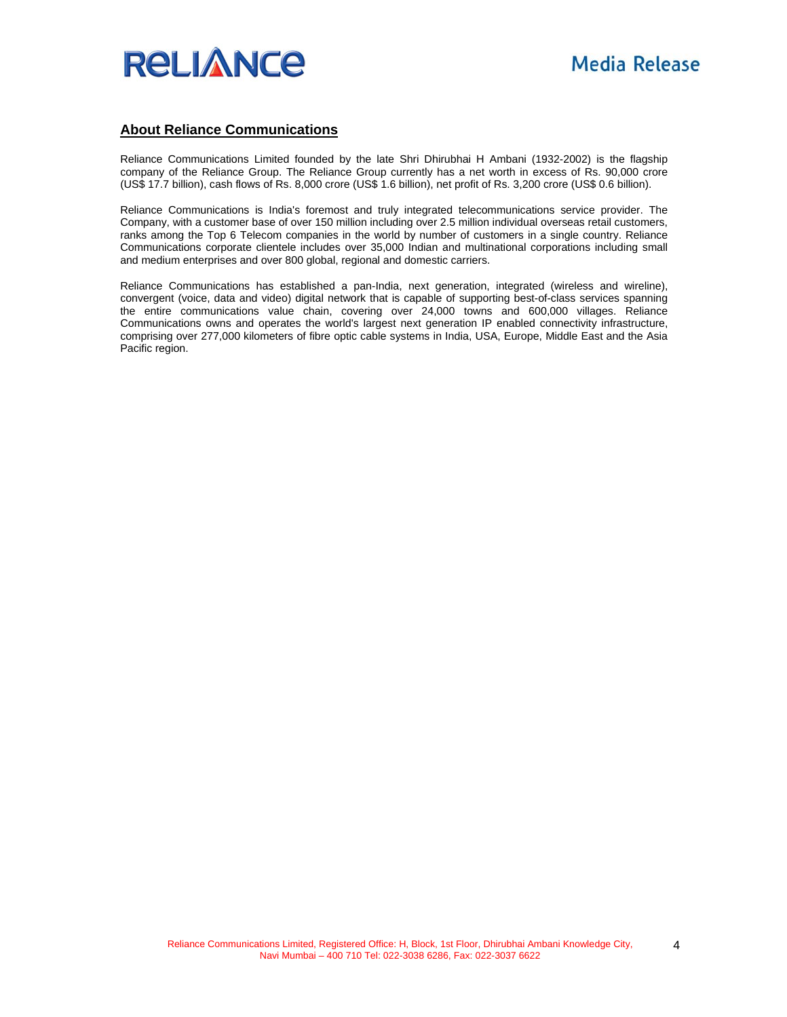

#### **About Reliance Communications**

Reliance Communications Limited founded by the late Shri Dhirubhai H Ambani (1932-2002) is the flagship company of the Reliance Group. The Reliance Group currently has a net worth in excess of Rs. 90,000 crore (US\$ 17.7 billion), cash flows of Rs. 8,000 crore (US\$ 1.6 billion), net profit of Rs. 3,200 crore (US\$ 0.6 billion).

Reliance Communications is India's foremost and truly integrated telecommunications service provider. The Company, with a customer base of over 150 million including over 2.5 million individual overseas retail customers, ranks among the Top 6 Telecom companies in the world by number of customers in a single country. Reliance Communications corporate clientele includes over 35,000 Indian and multinational corporations including small and medium enterprises and over 800 global, regional and domestic carriers.

Reliance Communications has established a pan-India, next generation, integrated (wireless and wireline), convergent (voice, data and video) digital network that is capable of supporting best-of-class services spanning the entire communications value chain, covering over 24,000 towns and 600,000 villages. Reliance Communications owns and operates the world's largest next generation IP enabled connectivity infrastructure, comprising over 277,000 kilometers of fibre optic cable systems in India, USA, Europe, Middle East and the Asia Pacific region.

4